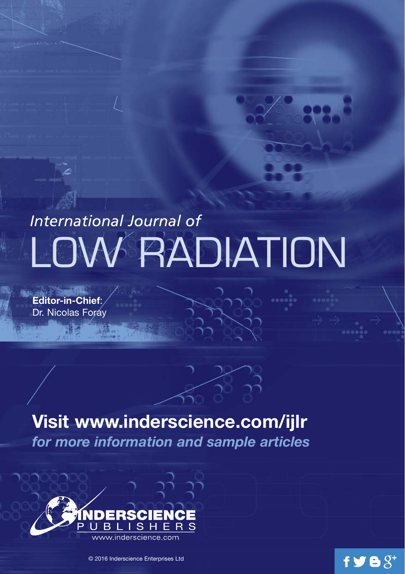# *International Journal of* **DW RADIATION**

**Editor-in-Chief**: Dr. Nicolas Foray

# **Visit www.inderscience.com/ijlr**

*for more information and sample articles*

 $f \blacktriangleright g g^*$